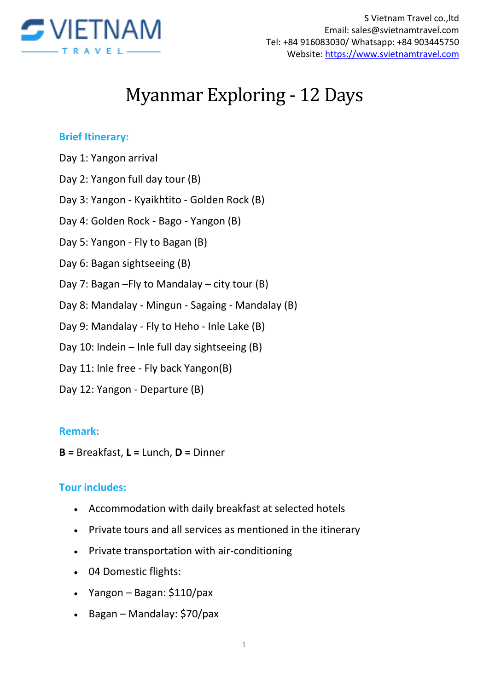

# Myanmar Exploring - 12 Days

#### **Brief Itinerary:**

- Day 1: Yangon arrival
- Day 2: Yangon full day tour (B)
- Day 3: Yangon Kyaikhtito Golden Rock (B)
- Day 4: Golden Rock Bago Yangon (B)
- Day 5: Yangon Fly to Bagan (B)
- Day 6: Bagan sightseeing (B)
- Day 7: Bagan –Fly to Mandalay city tour (B)
- Day 8: Mandalay Mingun Sagaing Mandalay (B)
- Day 9: Mandalay Fly to Heho Inle Lake (B)
- Day 10: Indein Inle full day sightseeing (B)
- Day 11: Inle free Fly back Yangon(B)
- Day 12: Yangon Departure (B)

#### **Remark:**

**B =** Breakfast, **L =** Lunch, **D =** Dinner

#### **Tour includes:**

- Accommodation with daily breakfast at selected hotels
- Private tours and all services as mentioned in the itinerary
- Private transportation with air-conditioning
- 04 Domestic flights:
- $\bullet$  Yangon Bagan: \$110/pax
- Bagan Mandalay: \$70/pax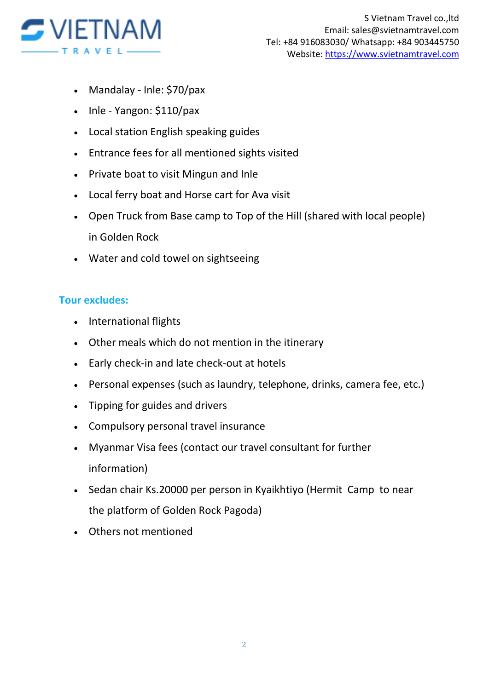

- Mandalay Inle: \$70/pax
- $\bullet$  Inle Yangon: \$110/pax
- Local station English speaking guides
- Entrance fees for all mentioned sights visited
- Private boat to visit Mingun and Inle
- Local ferry boat and Horse cart for Ava visit
- Open Truck from Base camp to Top of the Hill (shared with local people) in Golden Rock
- Water and cold towel on sightseeing

## **Tour excludes:**

- International flights
- Other meals which do not mention in the itinerary
- Early check-in and late check-out at hotels
- Personal expenses (such as laundry, telephone, drinks, camera fee, etc.)
- Tipping for guides and drivers
- Compulsory personal travel insurance
- Myanmar Visa fees (contact our travel consultant for further information)
- Sedan chair Ks.20000 per person in Kyaikhtiyo (Hermit Camp to near the platform of Golden Rock Pagoda)
- Others not mentioned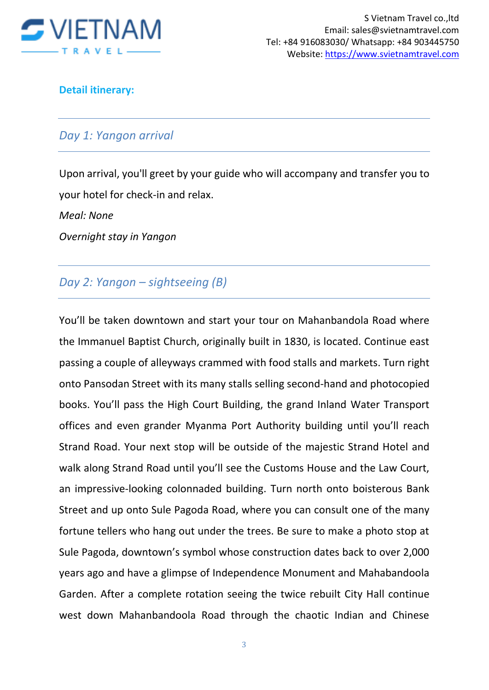

#### **Detail itinerary:**

#### *Day 1: Yangon arrival*

Upon arrival, you'll greet by your guide who will accompany and transfer you to your hotel for check-in and relax.

*Meal: None* 

*Overnight stay in Yangon*

## *Day 2: Yangon – sightseeing (B)*

You'll be taken downtown and start your tour on Mahanbandola Road where the Immanuel Baptist Church, originally built in 1830, is located. Continue east passing a couple of alleyways crammed with food stalls and markets. Turn right onto Pansodan Street with its many stalls selling second-hand and photocopied books. You'll pass the High Court Building, the grand Inland Water Transport offices and even grander Myanma Port Authority building until you'll reach Strand Road. Your next stop will be outside of the majestic Strand Hotel and walk along Strand Road until you'll see the Customs House and the Law Court, an impressive-looking colonnaded building. Turn north onto boisterous Bank Street and up onto Sule Pagoda Road, where you can consult one of the many fortune tellers who hang out under the trees. Be sure to make a photo stop at Sule Pagoda, downtown's symbol whose construction dates back to over 2,000 years ago and have a glimpse of Independence Monument and Mahabandoola Garden. After a complete rotation seeing the twice rebuilt City Hall continue west down Mahanbandoola Road through the chaotic Indian and Chinese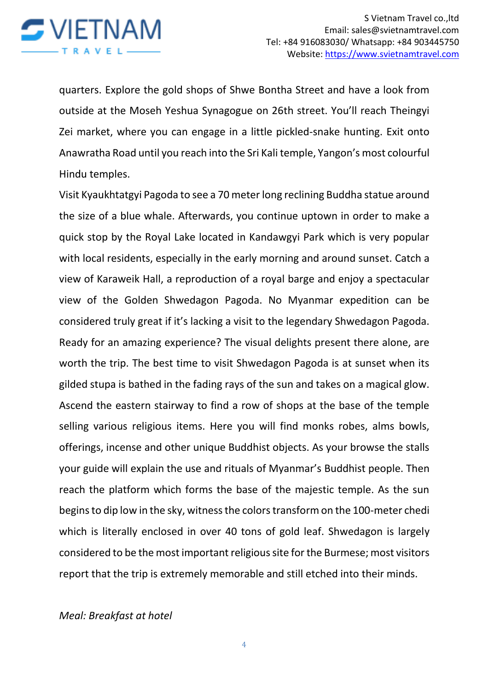

quarters. Explore the gold shops of Shwe Bontha Street and have a look from outside at the Moseh Yeshua Synagogue on 26th street. You'll reach Theingyi Zei market, where you can engage in a little pickled-snake hunting. Exit onto Anawratha Road until you reach into the Sri Kali temple, Yangon's most colourful Hindu temples.

Visit Kyaukhtatgyi Pagoda to see a 70 meter long reclining Buddha statue around the size of a blue whale. Afterwards, you continue uptown in order to make a quick stop by the Royal Lake located in Kandawgyi Park which is very popular with local residents, especially in the early morning and around sunset. Catch a view of Karaweik Hall, a reproduction of a royal barge and enjoy a spectacular view of the Golden Shwedagon Pagoda. No Myanmar expedition can be considered truly great if it's lacking a visit to the legendary Shwedagon Pagoda. Ready for an amazing experience? The visual delights present there alone, are worth the trip. The best time to visit Shwedagon Pagoda is at sunset when its gilded stupa is bathed in the fading rays of the sun and takes on a magical glow. Ascend the eastern stairway to find a row of shops at the base of the temple selling various religious items. Here you will find monks robes, alms bowls, offerings, incense and other unique Buddhist objects. As your browse the stalls your guide will explain the use and rituals of Myanmar's Buddhist people. Then reach the platform which forms the base of the majestic temple. As the sun begins to dip low in the sky, witness the colors transform on the 100-meter chedi which is literally enclosed in over 40 tons of gold leaf. Shwedagon is largely considered to be the most important religious site for the Burmese; most visitors report that the trip is extremely memorable and still etched into their minds.

*Meal: Breakfast at hotel*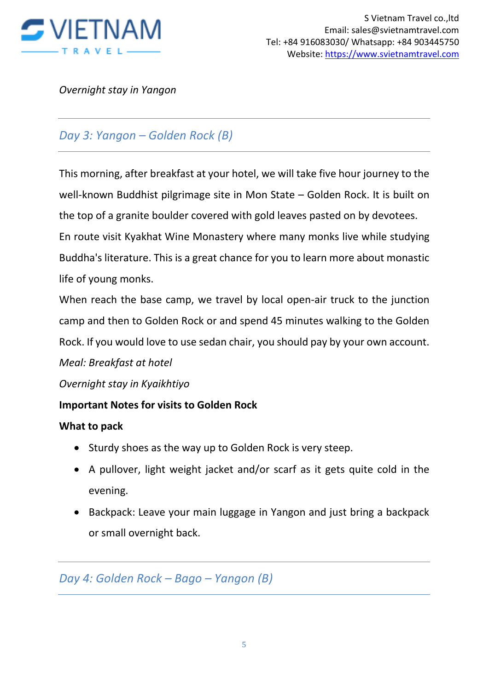

*Overnight stay in Yangon*

# *Day 3: Yangon – Golden Rock (B)*

This morning, after breakfast at your hotel, we will take five hour journey to the well-known Buddhist pilgrimage site in Mon State – Golden Rock. It is built on the top of a granite boulder covered with gold leaves pasted on by devotees.

En route visit Kyakhat Wine Monastery where many monks live while studying Buddha's literature. This is a great chance for you to learn more about monastic life of young monks.

When reach the base camp, we travel by local open-air truck to the junction camp and then to Golden Rock or and spend 45 minutes walking to the Golden Rock. If you would love to use sedan chair, you should pay by your own account.

## *Meal: Breakfast at hotel*

*Overnight stay in Kyaikhtiyo* 

### **Important Notes for visits to Golden Rock**

#### **What to pack**

- Sturdy shoes as the way up to Golden Rock is very steep.
- A pullover, light weight jacket and/or scarf as it gets quite cold in the evening.
- Backpack: Leave your main luggage in Yangon and just bring a backpack or small overnight back.

## *Day 4: Golden Rock – Bago – Yangon (B)*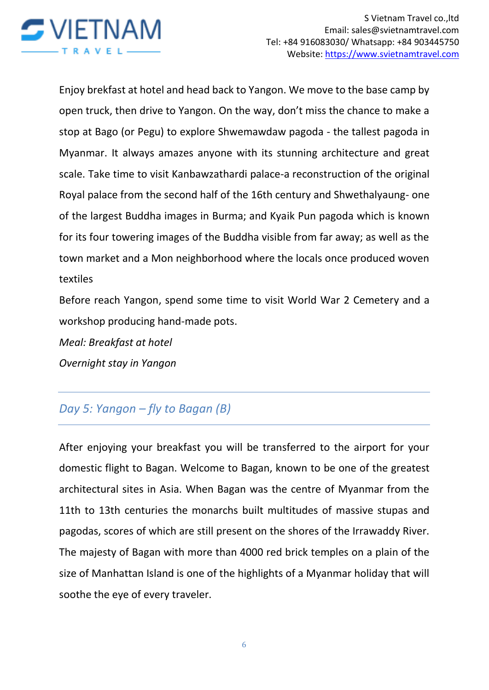

Enjoy brekfast at hotel and head back to Yangon. We move to the base camp by open truck, then drive to Yangon. On the way, don't miss the chance to make a stop at Bago (or Pegu) to explore Shwemawdaw pagoda - the tallest pagoda in Myanmar. It always amazes anyone with its stunning architecture and great scale. Take time to visit Kanbawzathardi palace-a reconstruction of the original Royal palace from the second half of the 16th century and Shwethalyaung- one of the largest Buddha images in Burma; and Kyaik Pun pagoda which is known for its four towering images of the Buddha visible from far away; as well as the town market and a Mon neighborhood where the locals once produced woven textiles

Before reach Yangon, spend some time to visit World War 2 Cemetery and a workshop producing hand-made pots.

*Meal: Breakfast at hotel Overnight stay in Yangon* 

# *Day 5: Yangon – fly to Bagan (B)*

After enjoying your breakfast you will be transferred to the airport for your domestic flight to Bagan. Welcome to Bagan, known to be one of the greatest architectural sites in Asia. When Bagan was the centre of Myanmar from the 11th to 13th centuries the monarchs built multitudes of massive stupas and pagodas, scores of which are still present on the shores of the Irrawaddy River. The majesty of Bagan with more than 4000 red brick temples on a plain of the size of Manhattan Island is one of the highlights of a Myanmar holiday that will soothe the eye of every traveler.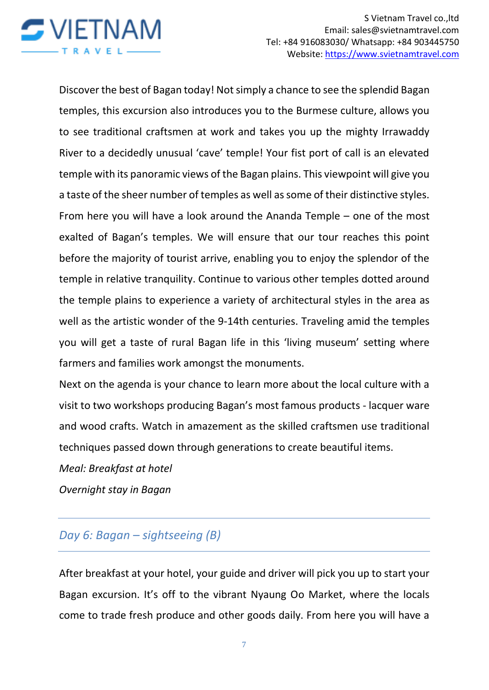

Discover the best of Bagan today! Not simply a chance to see the splendid Bagan temples, this excursion also introduces you to the Burmese culture, allows you to see traditional craftsmen at work and takes you up the mighty Irrawaddy River to a decidedly unusual 'cave' temple! Your fist port of call is an elevated temple with its panoramic views of the Bagan plains. This viewpoint will give you a taste of the sheer number of temples as well as some of their distinctive styles. From here you will have a look around the Ananda Temple – one of the most exalted of Bagan's temples. We will ensure that our tour reaches this point before the majority of tourist arrive, enabling you to enjoy the splendor of the temple in relative tranquility. Continue to various other temples dotted around the temple plains to experience a variety of architectural styles in the area as well as the artistic wonder of the 9-14th centuries. Traveling amid the temples you will get a taste of rural Bagan life in this 'living museum' setting where farmers and families work amongst the monuments.

Next on the agenda is your chance to learn more about the local culture with a visit to two workshops producing Bagan's most famous products - lacquer ware and wood crafts. Watch in amazement as the skilled craftsmen use traditional techniques passed down through generations to create beautiful items.

*Meal: Breakfast at hotel*

*Overnight stay in Bagan*

# *Day 6: Bagan – sightseeing (B)*

After breakfast at your hotel, your guide and driver will pick you up to start your Bagan excursion. It's off to the vibrant Nyaung Oo Market, where the locals come to trade fresh produce and other goods daily. From here you will have a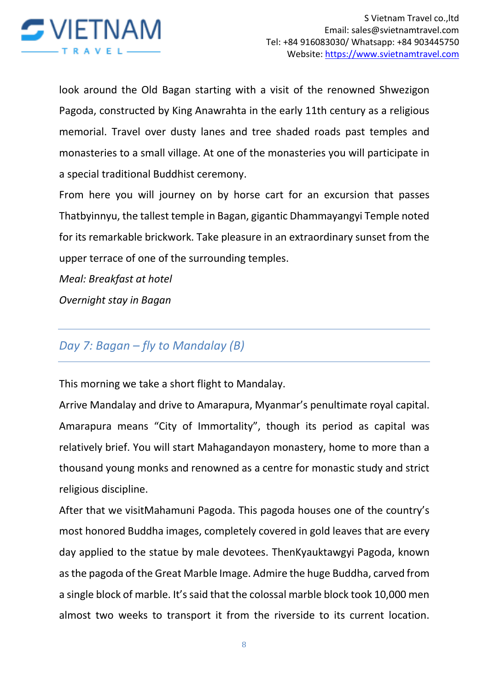

look around the Old Bagan starting with a visit of the renowned Shwezigon Pagoda, constructed by King Anawrahta in the early 11th century as a religious memorial. Travel over dusty lanes and tree shaded roads past temples and monasteries to a small village. At one of the monasteries you will participate in a special traditional Buddhist ceremony.

From here you will journey on by horse cart for an excursion that passes Thatbyinnyu, the tallest temple in Bagan, gigantic Dhammayangyi Temple noted for its remarkable brickwork. Take pleasure in an extraordinary sunset from the upper terrace of one of the surrounding temples.

*Meal: Breakfast at hotel*

*Overnight stay in Bagan*

# *Day 7: Bagan – fly to Mandalay (B)*

This morning we take a short flight to Mandalay.

Arrive Mandalay and drive to Amarapura, Myanmar's penultimate royal capital. Amarapura means "City of Immortality", though its period as capital was relatively brief. You will start Mahagandayon monastery, home to more than a thousand young monks and renowned as a centre for monastic study and strict religious discipline.

After that we visitMahamuni Pagoda. This pagoda houses one of the country's most honored Buddha images, completely covered in gold leaves that are every day applied to the statue by male devotees. ThenKyauktawgyi Pagoda, known as the pagoda of the Great Marble Image. Admire the huge Buddha, carved from a single block of marble. It's said that the colossal marble block took 10,000 men almost two weeks to transport it from the riverside to its current location.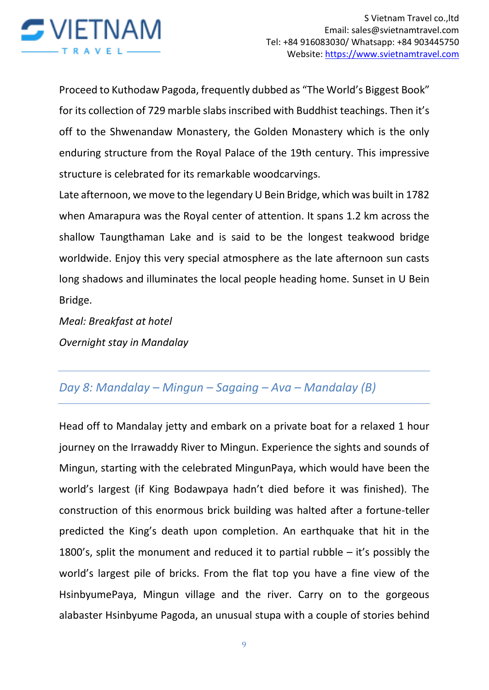

Proceed to Kuthodaw Pagoda, frequently dubbed as "The World's Biggest Book" for its collection of 729 marble slabs inscribed with Buddhist teachings. Then it's off to the Shwenandaw Monastery, the Golden Monastery which is the only enduring structure from the Royal Palace of the 19th century. This impressive structure is celebrated for its remarkable woodcarvings.

Late afternoon, we move to the legendary U Bein Bridge, which was built in 1782 when Amarapura was the Royal center of attention. It spans 1.2 km across the shallow Taungthaman Lake and is said to be the longest teakwood bridge worldwide. Enjoy this very special atmosphere as the late afternoon sun casts long shadows and illuminates the local people heading home. Sunset in U Bein Bridge.

*Meal: Breakfast at hotel Overnight stay in Mandalay* 

# *Day 8: Mandalay – Mingun – Sagaing – Ava – Mandalay (B)*

Head off to Mandalay jetty and embark on a private boat for a relaxed 1 hour journey on the Irrawaddy River to Mingun. Experience the sights and sounds of Mingun, starting with the celebrated MingunPaya, which would have been the world's largest (if King Bodawpaya hadn't died before it was finished). The construction of this enormous brick building was halted after a fortune-teller predicted the King's death upon completion. An earthquake that hit in the 1800's, split the monument and reduced it to partial rubble – it's possibly the world's largest pile of bricks. From the flat top you have a fine view of the HsinbyumePaya, Mingun village and the river. Carry on to the gorgeous alabaster Hsinbyume Pagoda, an unusual stupa with a couple of stories behind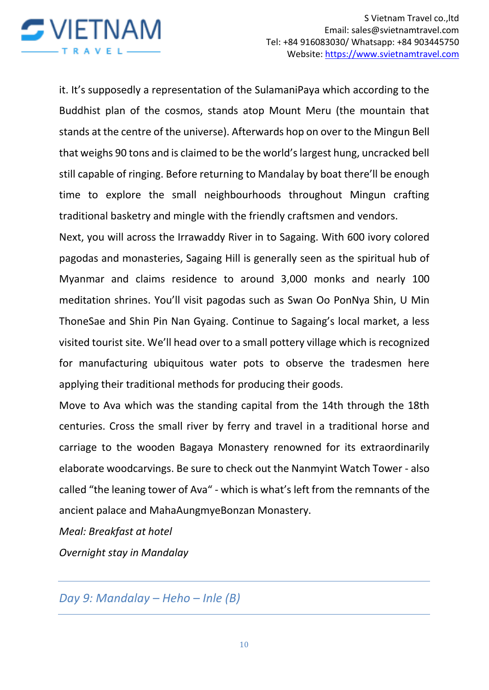

it. It's supposedly a representation of the SulamaniPaya which according to the Buddhist plan of the cosmos, stands atop Mount Meru (the mountain that stands at the centre of the universe). Afterwards hop on over to the Mingun Bell that weighs 90 tons and is claimed to be the world's largest hung, uncracked bell still capable of ringing. Before returning to Mandalay by boat there'll be enough time to explore the small neighbourhoods throughout Mingun crafting traditional basketry and mingle with the friendly craftsmen and vendors.

Next, you will across the Irrawaddy River in to Sagaing. With 600 ivory colored pagodas and monasteries, Sagaing Hill is generally seen as the spiritual hub of Myanmar and claims residence to around 3,000 monks and nearly 100 meditation shrines. You'll visit pagodas such as Swan Oo PonNya Shin, U Min ThoneSae and Shin Pin Nan Gyaing. Continue to Sagaing's local market, a less visited tourist site. We'll head over to a small pottery village which is recognized for manufacturing ubiquitous water pots to observe the tradesmen here applying their traditional methods for producing their goods.

Move to Ava which was the standing capital from the 14th through the 18th centuries. Cross the small river by ferry and travel in a traditional horse and carriage to the wooden Bagaya Monastery renowned for its extraordinarily elaborate woodcarvings. Be sure to check out the Nanmyint Watch Tower - also called "the leaning tower of Ava" - which is what's left from the remnants of the ancient palace and MahaAungmyeBonzan Monastery.

*Meal: Breakfast at hotel*

*Overnight stay in Mandalay* 

*Day 9: Mandalay – Heho – Inle (B)*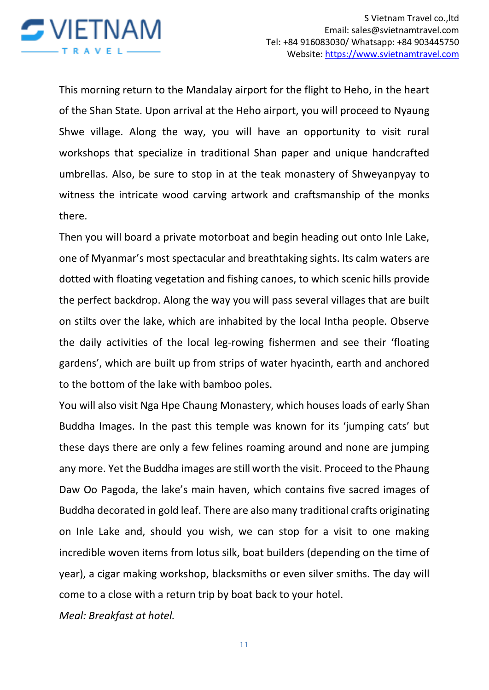

This morning return to the Mandalay airport for the flight to Heho, in the heart of the Shan State. Upon arrival at the Heho airport, you will proceed to Nyaung Shwe village. Along the way, you will have an opportunity to visit rural workshops that specialize in traditional Shan paper and unique handcrafted umbrellas. Also, be sure to stop in at the teak monastery of Shweyanpyay to witness the intricate wood carving artwork and craftsmanship of the monks there.

Then you will board a private motorboat and begin heading out onto Inle Lake, one of Myanmar's most spectacular and breathtaking sights. Its calm waters are dotted with floating vegetation and fishing canoes, to which scenic hills provide the perfect backdrop. Along the way you will pass several villages that are built on stilts over the lake, which are inhabited by the local Intha people. Observe the daily activities of the local leg-rowing fishermen and see their 'floating gardens', which are built up from strips of water hyacinth, earth and anchored to the bottom of the lake with bamboo poles.

You will also visit Nga Hpe Chaung Monastery, which houses loads of early Shan Buddha Images. In the past this temple was known for its 'jumping cats' but these days there are only a few felines roaming around and none are jumping any more. Yet the Buddha images are still worth the visit. Proceed to the Phaung Daw Oo Pagoda, the lake's main haven, which contains five sacred images of Buddha decorated in gold leaf. There are also many traditional crafts originating on Inle Lake and, should you wish, we can stop for a visit to one making incredible woven items from lotus silk, boat builders (depending on the time of year), a cigar making workshop, blacksmiths or even silver smiths. The day will come to a close with a return trip by boat back to your hotel.

*Meal: Breakfast at hotel.*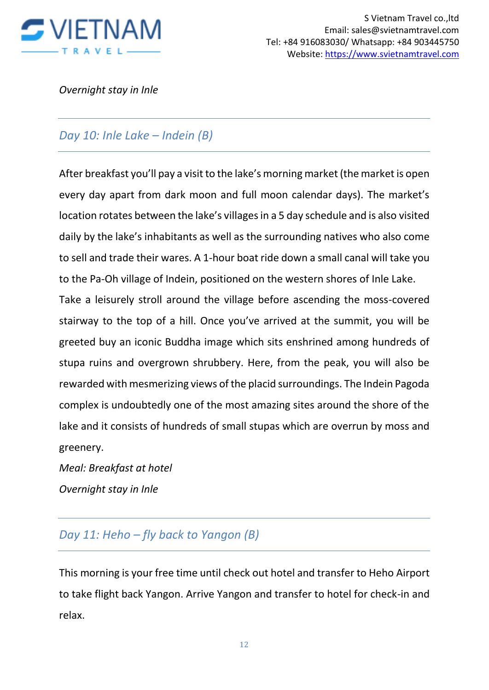

*Overnight stay in Inle* 

## *Day 10: Inle Lake – Indein (B)*

After breakfast you'll pay a visit to the lake's morning market (the market is open every day apart from dark moon and full moon calendar days). The market's location rotates between the lake's villages in a 5 day schedule and is also visited daily by the lake's inhabitants as well as the surrounding natives who also come to sell and trade their wares. A 1-hour boat ride down a small canal will take you to the Pa-Oh village of Indein, positioned on the western shores of Inle Lake.

Take a leisurely stroll around the village before ascending the moss-covered stairway to the top of a hill. Once you've arrived at the summit, you will be greeted buy an iconic Buddha image which sits enshrined among hundreds of stupa ruins and overgrown shrubbery. Here, from the peak, you will also be rewarded with mesmerizing views of the placid surroundings. The Indein Pagoda complex is undoubtedly one of the most amazing sites around the shore of the lake and it consists of hundreds of small stupas which are overrun by moss and greenery.

*Meal: Breakfast at hotel Overnight stay in Inle* 

## *Day 11: Heho – fly back to Yangon (B)*

This morning is your free time until check out hotel and transfer to Heho Airport to take flight back Yangon. Arrive Yangon and transfer to hotel for check-in and relax.